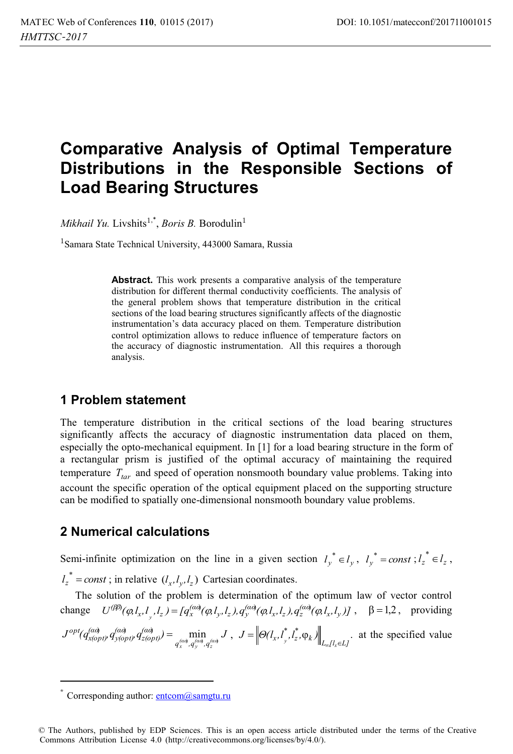# **Comparative Analysis of Optimal Temperature Distributions in the Responsible Sections of Load Bearing Structures**

*Mikhail Yu.* Livshits<sup>1,\*</sup>, *Boris B.* Borodulin<sup>1</sup>

1 Samara State Technical University, 443000 Samara, Russia

**Abstract.** This work presents a comparative analysis of the temperature distribution for different thermal conductivity coefficients. The analysis of the general problem shows that temperature distribution in the critical sections of the load bearing structures significantly affects of the diagnostic instrumentation's data accuracy placed on them. Temperature distribution control optimization allows to reduce influence of temperature factors on the accuracy of diagnostic instrumentation. All this requires a thorough analysis.

### **1 Problem statement**

The temperature distribution in the critical sections of the load bearing structures significantly affects the accuracy of diagnostic instrumentation data placed on them, especially the opto-mechanical equipment. In [1] for a load bearing structure in the form of a rectangular prism is justified of the optimal accuracy of maintaining the required temperature  $T_{tar}$  and speed of operation nonsmooth boundary value problems. Taking into account the specific operation of the optical equipment placed on the supporting structure can be modified to spatially one-dimensional nonsmooth boundary value problems.

### **2 Numerical calculations**

Semi-infinite optimization on the line in a given section  $l_y^* \in l_y$ ,  $l_y^* = const$ ;  $l_z^* \in l_z$ ,

 $l_z^* = const$ ; in relative  $(l_x, l_y, l_z)$  Cartesian coordinates.

The solution of the problem is determination of the optimum law of vector control change  $U^{(\beta\beta)}(\varphi, l_x, l_y, l_z) = [q_x^{(\alpha\beta)}(\varphi, l_y, l_z), q_y^{(\alpha\beta)}(\varphi, l_x, l_z), q_z^{(\alpha\beta)}(\varphi, l_x, l_y)]$ ,  $\beta = 1, 2$ , providing

$$
J^{opt}(q_{x(op\ell)}^{(\alpha\alpha)}q_{y(op\ell)}^{(\alpha\alpha)}q_{z(op\ell)}^{(\alpha\alpha)} = \min_{q_x^{(\alpha\alpha)}, q_y^{(\alpha\alpha)}, q_z^{(\alpha\alpha)}} J, \quad J = \left\|\Theta(l_x, l_y^*, l_z^*, \varphi_k)\right\|_{L_x[l_x \in L]} \text{ at the specified value}
$$

ı

<sup>\*</sup> Corresponding author:  $entcom@samgtu.ru$ 

<sup>©</sup> The Authors, published by EDP Sciences. This is an open access article distributed under the terms of the Creative Commons Attribution License 4.0 (http://creativecommons.org/licenses/by/4.0/).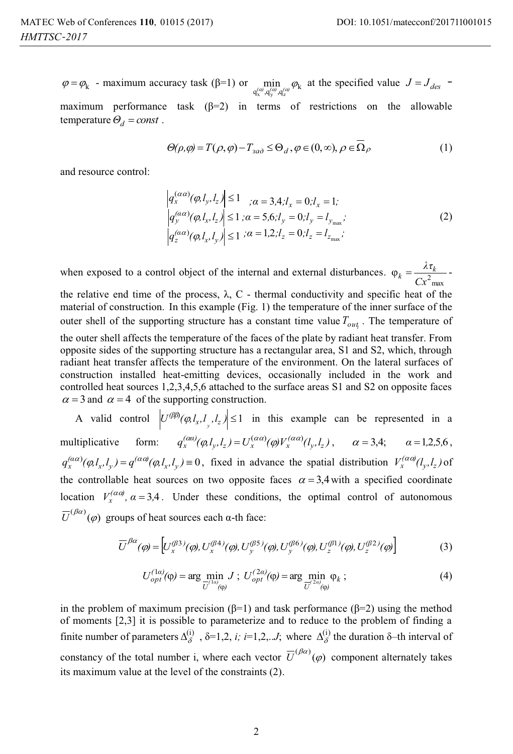$\varphi = \varphi_k$  - maximum accuracy task ( $\beta$ =1) or  $\min_{q_x^{\alpha}, q_y^{\alpha}, q_z^{\alpha}} \varphi_k$  at the specified value  $J = J_{des}$  maximum performance task  $(\beta=2)$  in terms of restrictions on the allowable temperature  $\Theta_d = const$ .

$$
\Theta(\rho,\varphi) = T(\rho,\varphi) - T_{\text{rad}} \le \Theta_d, \varphi \in (0,\infty), \rho \in \overline{\Omega}_{\rho}
$$
 (1)

and resource control:

$$
\left| \frac{q_x^{(\alpha\alpha)}(\varphi, l_y, l_z)}{q_y^{(\alpha\alpha)}(\varphi, l_x, l_z)} \right| \le 1 \quad ; \alpha = 3,4; l_x = 0; l_x = 1; \n\left| \frac{q_y^{(\alpha\alpha)}(\varphi, l_x, l_z)}{q_z^{(\alpha\alpha)}(\varphi, l_x, l_y)} \right| \le 1 \quad ; \alpha = 1,2; l_z = 0; l_z = l_{z_{\text{max}}};
$$
\n(2)

when exposed to a control object of the internal and external disturbances.  $\varphi_k = \frac{\lambda \tau_k}{Cx_{\text{max}}^2}$ .

the relative end time of the process,  $\lambda$ , C - thermal conductivity and specific heat of the material of construction. In this example (Fig. 1) the temperature of the inner surface of the outer shell of the supporting structure has a constant time value  $T_{out}$ . The temperature of the outer shell affects the temperature of the faces of the plate by radiant heat transfer. From opposite sides of the supporting structure has a rectangular area, S1 and S2, which, through radiant heat transfer affects the temperature of the environment. On the lateral surfaces of construction installed heat-emitting devices, occasionally included in the work and controlled heat sources 1,2,3,4,5,6 attached to the surface areas S1 and S2 on opposite faces  $\alpha$  = 3 and  $\alpha$  = 4 of the supporting construction.

A valid control  $U^{(\beta\beta)}(\varphi, l_x, l_y, l_z) \le 1$  in this example can be represented in a multiplicative form:  $q_x^{(\alpha\alpha)}(\varphi, l_y, l_z) = U_x^{(\alpha\alpha)}(\varphi) V_x^{(\alpha\alpha)}(l_y, l_z)$ ,  $\alpha = 3,4;$   $\alpha = 1,2,5,6$ ,  $q_x^{(\alpha\alpha)}(\varphi, l_x, l_y) = q^{(\alpha\alpha)}(\varphi, l_x, l_y) = 0$ , fixed in advance the spatial distribution  $V_x^{(\alpha\alpha)}(l_y, l_z)$  of the controllable heat sources on two opposite faces  $\alpha = 3.4$  with a specified coordinate location  $V_x^{(\alpha\alpha)}$ ,  $\alpha = 3.4$ . Under these conditions, the optimal control of autonomous  $\overline{U}^{(\beta\alpha)}(\varphi)$  groups of heat sources each  $\alpha$ -th face:

$$
\overline{U}^{\beta\alpha}(\varphi) = \left[ U_x^{(\beta 3)}(\varphi), U_x^{(\beta 4)}(\varphi), U_y^{(\beta 5)}(\varphi), U_y^{(\beta 6)}(\varphi), U_z^{(\beta 1)}(\varphi), U_z^{(\beta 2)}(\varphi) \right]
$$
(3)

$$
U_{opt}^{(1\alpha)}(\varphi) = \arg\min_{\overline{U}^{(1\alpha)}(\varphi)} J \; ; \; U_{opt}^{(2\alpha)}(\varphi) = \arg\min_{\overline{U}^{(2\alpha)}(\varphi)} \varphi_k \; ; \tag{4}
$$

in the problem of maximum precision  $(\beta=1)$  and task performance  $(\beta=2)$  using the method of moments [2,3] it is possible to parameterize and to reduce to the problem of finding a finite number of parameters  $\Delta_{\delta}^{(i)}$ ,  $\delta=1,2, i; i=1,2,...J$ ; where  $\Delta_{\delta}^{(i)}$  the duration  $\delta$ -th interval of constancy of the total number i, where each vector  $\overline{U}^{(\beta\alpha)}(\varphi)$  component alternately takes its maximum value at the level of the constraints (2).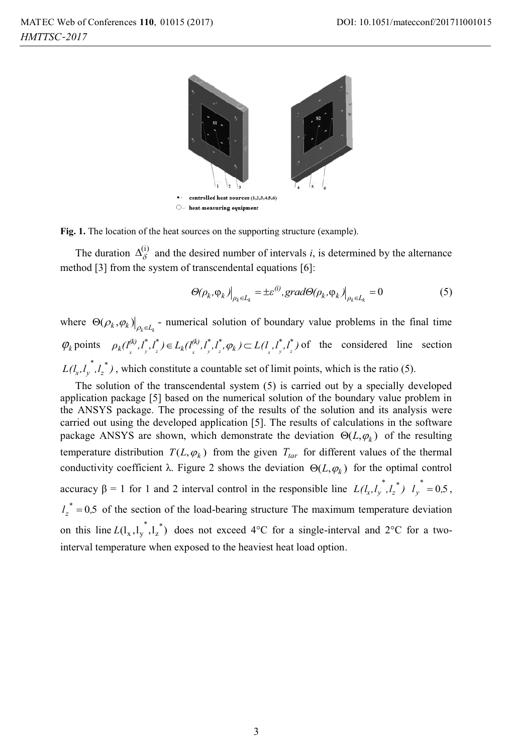

**Fig. 1.** The location of the heat sources on the supporting structure (example).

The duration  $\Delta_{\delta}^{(i)}$  and the desired number of intervals *i*, is determined by the alternance method [3] from the system of transcendental equations [6]:

$$
\Theta(\rho_k, \varphi_k)\Big|_{\rho_k \in L_k} = \pm \varepsilon^{(i)}, \text{grad}\Theta(\rho_k, \varphi_k)\Big|_{\rho_k \in L_k} = 0 \tag{5}
$$

where  $\Theta(\rho_k, \varphi_k)\big|_{\rho_k \in L_k}$  - numerical solution of boundary value problems in the final time  $\varphi_k$  points  $\rho_k(l_x^{(k)}, l_y^*, l_z^*) \in L_k(l_x^{(k)}, l_y^*, l_z^*, \varphi_k) \subset L(l_x, l_y^*, l_z^*)$  of the considered line section  $L(l_x, l_y, l_z^*)$  $f_x, l_y, l_z^*$ ), which constitute a countable set of limit points, which is the ratio (5).

The solution of the transcendental system (5) is carried out by a specially developed application package [5] based on the numerical solution of the boundary value problem in the ANSYS package. The processing of the results of the solution and its analysis were carried out using the developed application [5]. The results of calculations in the software package ANSYS are shown, which demonstrate the deviation  $\Theta(L, \varphi_k)$  of the resulting temperature distribution  $T(L, \varphi_k)$  from the given  $T_{tar}$  for different values of the thermal conductivity coefficient  $\lambda$ . Figure 2 shows the deviation  $\Theta(L, \varphi_k)$  for the optimal control accuracy  $\beta = 1$  for 1 and 2 interval control in the responsible line  $L(l_x, l_y, l_z^*)$  $l_x, l_y^*, l_z^*$ )  $l_y^* = 0.5$ ,  $l_z^* = 0.5$  of the section of the load-bearing structure The maximum temperature deviation on this line  $L(l_x, l_y, l_z^*)$  $L(l_x, l_y, l_z)$  does not exceed 4°C for a single-interval and 2°C for a twointerval temperature when exposed to the heaviest heat load option.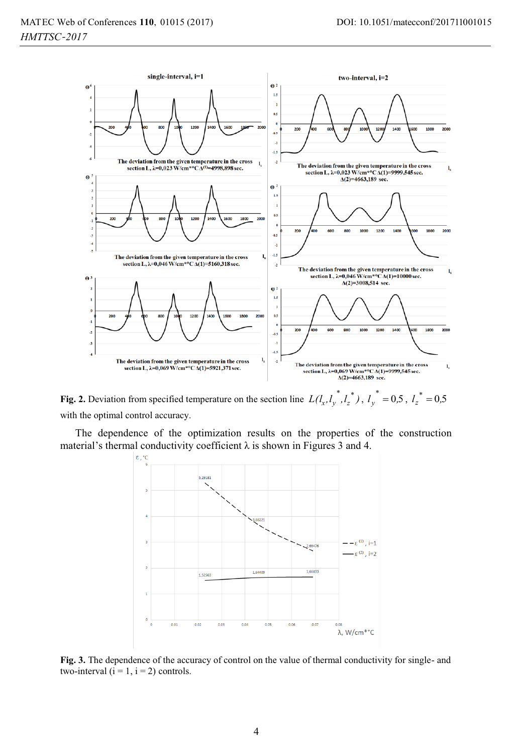

**Fig. 2.** Deviation from specified temperature on the section line  $L(l_x, l_y, l_z^*)$  $\left(x_{x}, l_{y}^{*}, l_{z}^{*}\right), \ l_{y}^{*} = 0.5, \ l_{z}^{*} = 0.5$ with the optimal control accuracy.

The dependence of the optimization results on the properties of the construction material's thermal conductivity coefficient  $\lambda$  is shown in Figures 3 and 4.



**Fig. 3.** The dependence of the accuracy of control on the value of thermal conductivity for single- and two-interval  $(i = 1, i = 2)$  controls.